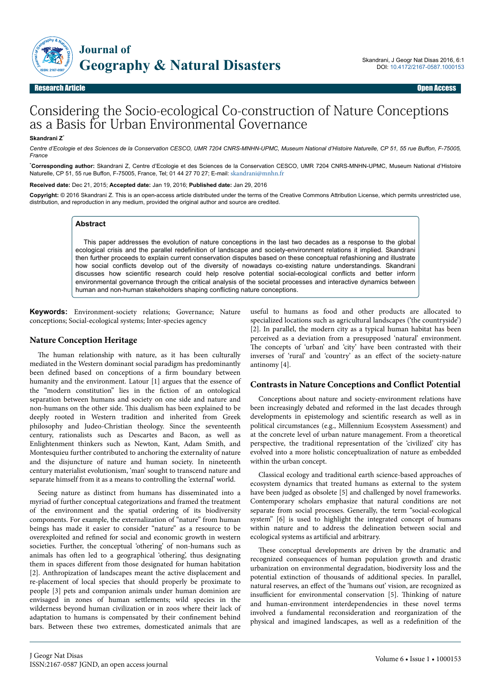

Research Article Open Access

# Considering the Socio-ecological Co-construction of Nature Conceptions as a Basis for Urban Environmental Governance

#### **Skandrani Z**\*

*Centre d'Ecologie et des Sciences de la Conservation CESCO, UMR 7204 CNRS-MNHN-UPMC, Museum National d'Histoire Naturelle, CP 51, 55 rue Buffon, F-75005, France*

\***Corresponding author:** Skandrani Z, Centre d'Ecologie et des Sciences de la Conservation CESCO, UMR 7204 CNRS-MNHN-UPMC, Museum National d'Histoire Naturelle, CP 51, 55 rue Buffon, F-75005, France, Tel; 01 44 27 70 27; E-mail: [skandrani@mnhn.fr](mailto:skandrani@mnhn.fr)

#### **Received date:** Dec 21, 2015; **Accepted date:** Jan 19, 2016; **Published date:** Jan 29, 2016

Copyright: © 2016 Skandrani Z. This is an open-access article distributed under the terms of the Creative Commons Attribution License, which permits unrestricted use, distribution, and reproduction in any medium, provided the original author and source are credited.

### **Abstract**

This paper addresses the evolution of nature conceptions in the last two decades as a response to the global ecological crisis and the parallel redefinition of landscape and society-environment relations it implied. Skandrani then further proceeds to explain current conservation disputes based on these conceptual refashioning and illustrate how social conflicts develop out of the diversity of nowadays co-existing nature understandings. Skandrani discusses how scientific research could help resolve potential social-ecological conflicts and better inform environmental governance through the critical analysis of the societal processes and interactive dynamics between human and non-human stakeholders shaping conflicting nature conceptions.

**Keywords:** Environment-society relations; Governance; Nature conceptions; Social-ecological systems; Inter-species agency

## **Nature Conception Heritage**

The human relationship with nature, as it has been culturally mediated in the Western dominant social paradigm has predominantly been defined based on conceptions of a firm boundary between humanity and the environment. Latour [1] argues that the essence of the "modern constitution" lies in the fiction of an ontological separation between humans and society on one side and nature and non-humans on the other side. Нis dualism has been explained to be deeply rooted in Western tradition and inherited from Greek philosophy and Judeo-Christian theology. Since the seventeenth century, rationalists such as Descartes and Bacon, as well as Enlightenment thinkers such as Newton, Kant, Adam Smith, and Montesquieu further contributed to anchoring the externality of nature and the disjuncture of nature and human society. In nineteenth century materialist evolutionism, 'man' sought to transcend nature and separate himself from it as a means to controlling the 'external' world.

Seeing nature as distinct from humans has disseminated into a myriad of further conceptual categorizations and framed the treatment of the environment and the spatial ordering of its biodiversity components. For example, the externalization of "nature" from human beings has made it easier to consider "nature" as a resource to be overexploited and refined for social and economic growth in western societies. Further, the conceptual 'othering' of non-humans such as animals has often led to a geographical 'othering', thus designating them in spaces different from those designated for human habitation [2]. Anthropization of landscapes meant the active displacement and re-placement of local species that should properly be proximate to people [3] pets and companion animals under human dominion are envisaged in zones of human settlements; wild species in the wilderness beyond human civilization or in zoos where their lack of adaptation to humans is compensated by their confinement behind bars. Between these two extremes, domesticated animals that are

useful to humans as food and other products are allocated to specialized locations such as agricultural landscapes ('the countryside') [2]. In parallel, the modern city as a typical human habitat has been perceived as a deviation from a presupposed 'natural' environment. The concepts of 'urban' and 'city' have been contrasted with their inverses of 'rural' and 'country' as an effect of the society-nature antinomy [4].

### **Contrasts in Nature Conceptions and Conflict Potential**

Conceptions about nature and society-environment relations have been increasingly debated and reformed in the last decades through developments in epistemology and scientific research as well as in political circumstances (e.g., Millennium Ecosystem Assessment) and at the concrete level of urban nature management. From a theoretical perspective, the traditional representation of the 'civilized' city has evolved into a more holistic conceptualization of nature as embedded within the urban concept.

Classical ecology and traditional earth science-based approaches of ecosystem dynamics that treated humans as external to the system have been judged as obsolete [5] and challenged by novel frameworks. Contemporary scholars emphasize that natural conditions are not separate from social processes. Generally, the term "social-ecological system" [6] is used to highlight the integrated concept of humans within nature and to address the delineation between social and ecological systems as artificial and arbitrary.

These conceptual developments are driven by the dramatic and recognized consequences of human population growth and drastic urbanization on environmental degradation, biodiversity loss and the potential extinction of thousands of additional species. In parallel, natural reserves, an effect of the 'humans out' vision, are recognized as insufficient for environmental conservation [5]. Thinking of nature and human-environment interdependencies in these novel terms involved a fundamental reconsideration and reorganization of the physical and imagined landscapes, as well as a redefinition of the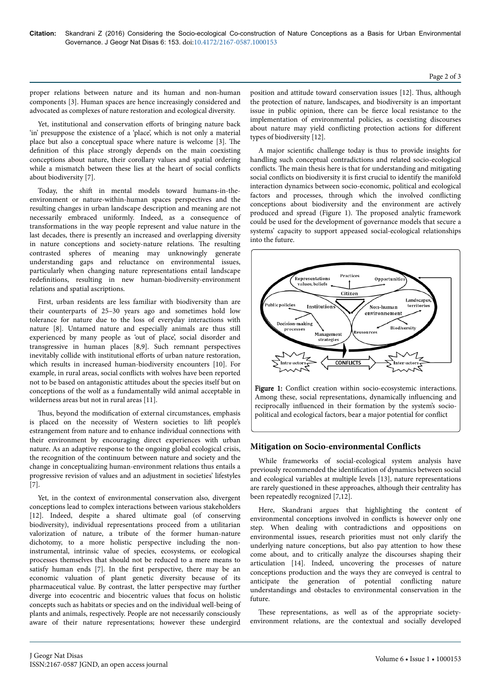proper relations between nature and its human and non-human components [3]. Human spaces are hence increasingly considered and advocated as complexes of nature restoration and ecological diversity.

Yet, institutional and conservation efforts of bringing nature back 'in' presuppose the existence of a 'place', which is not only a material place but also a conceptual space where nature is welcome [3]. Нe definition of this place strongly depends on the main coexisting conceptions about nature, their corollary values and spatial ordering while a mismatch between these lies at the heart of social conflicts about biodiversity [7].

Today, the shift in mental models toward humans-in-theenvironment or nature-within-human spaces perspectives and the resulting changes in urban landscape description and meaning are not necessarily embraced uniformly. Indeed, as a consequence of transformations in the way people represent and value nature in the last decades, there is presently an increased and overlapping diversity in nature conceptions and society-nature relations. Нe resulting contrasted spheres of meaning may unknowingly generate understanding gaps and reluctance on environmental issues, particularly when changing nature representations entail landscape redefinitions, resulting in new human-biodiversity-environment relations and spatial ascriptions.

First, urban residents are less familiar with biodiversity than are their counterparts of 25–30 years ago and sometimes hold low tolerance for nature due to the loss of everyday interactions with nature [8]. Untamed nature and especially animals are thus still experienced by many people as 'out of place', social disorder and transgressive in human places [8,9]. Such remnant perspectives inevitably collide with institutional efforts of urban nature restoration, which results in increased human-biodiversity encounters [10]. For example, in rural areas, social conflicts with wolves have been reported not to be based on antagonistic attitudes about the species itself but on conceptions of the wolf as a fundamentally wild animal acceptable in wilderness areas but not in rural areas [11].

Thus, beyond the modification of external circumstances, emphasis is placed on the necessity of Western societies to lift people's estrangement from nature and to enhance individual connections with their environment by encouraging direct experiences with urban nature. As an adaptive response to the ongoing global ecological crisis, the recognition of the continuum between nature and society and the change in conceptualizing human-environment relations thus entails a progressive revision of values and an adjustment in societies' lifestyles [7].

Yet, in the context of environmental conservation also, divergent conceptions lead to complex interactions between various stakeholders [12]. Indeed, despite a shared ultimate goal (of conserving biodiversity), individual representations proceed from a utilitarian valorization of nature, a tribute of the former human-nature dichotomy, to a more holistic perspective including the noninstrumental, intrinsic value of species, ecosystems, or ecological processes themselves that should not be reduced to a mere means to satisfy human ends [7]. In the first perspective, there may be an economic valuation of plant genetic diversity because of its pharmaceutical value. By contrast, the latter perspective may further diverge into ecocentric and biocentric values that focus on holistic concepts such as habitats or species and on the individual well-being of plants and animals, respectively. People are not necessarily consciously aware of their nature representations; however these undergird

position and attitude toward conservation issues [12]. Thus, although the protection of nature, landscapes, and biodiversity is an important issue in public opinion, there can be fierce local resistance to the implementation of environmental policies, as coexisting discourses about nature may yield conflicting protection actions for different types of biodiversity [12].

A major scientific challenge today is thus to provide insights for handling such conceptual contradictions and related socio-ecological conflicts. The main thesis here is that for understanding and mitigating social conflicts on biodiversity it is first crucial to identify the manifold interaction dynamics between socio-economic, political and ecological factors and processes, through which the involved conflicting conceptions about biodiversity and the environment are actively produced and spread (Figure 1). Нe proposed analytic framework could be used for the development of governance models that secure a systems' capacity to support appeased social-ecological relationships into the future.



Figure 1: Conflict creation within socio-ecosystemic interactions. Among these, social representations, dynamically influencing and reciprocally influenced in their formation by the system's sociopolitical and ecological factors, bear a major potential for conflict

# **Mitigation on Socio-environmental Conflicts**

While frameworks of social-ecological system analysis have previously recommended the identification of dynamics between social and ecological variables at multiple levels [13], nature representations are rarely questioned in these approaches, although their centrality has been repeatedly recognized [7,12].

Here, Skandrani argues that highlighting the content of environmental conceptions involved in conflicts is however only one step. When dealing with contradictions and oppositions on environmental issues, research priorities must not only clarify the underlying nature conceptions, but also pay attention to how these come about, and to critically analyze the discourses shaping their articulation [14]. Indeed, uncovering the processes of nature conceptions production and the ways they are conveyed is central to anticipate the generation of potential conflicting nature understandings and obstacles to environmental conservation in the future.

These representations, as well as of the appropriate societyenvironment relations, are the contextual and socially developed